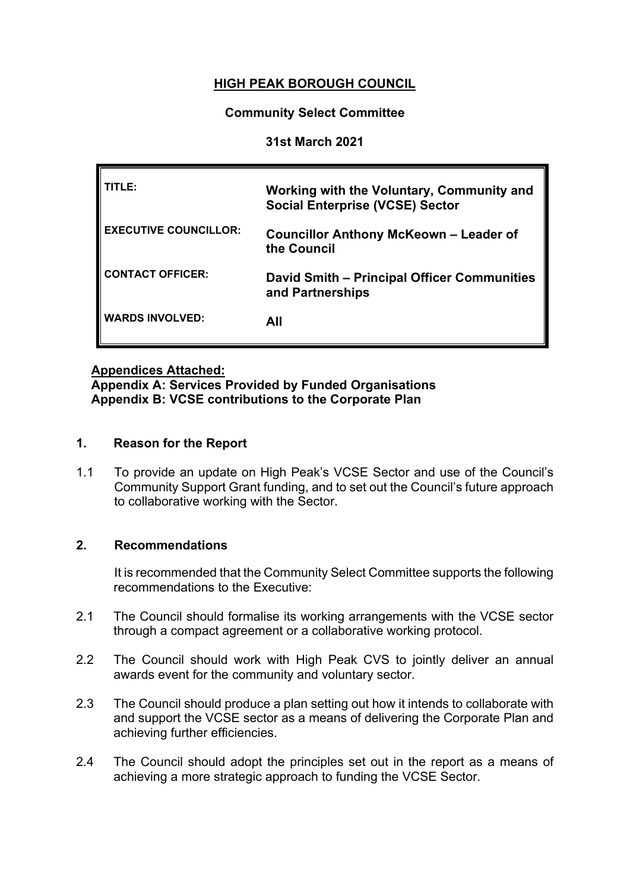# **HIGH PEAK BOROUGH COUNCIL**

#### **Community Select Committee**

#### **31st March 2021**

| TITLE:                       | Working with the Voluntary, Community and<br><b>Social Enterprise (VCSE) Sector</b> |
|------------------------------|-------------------------------------------------------------------------------------|
| <b>EXECUTIVE COUNCILLOR:</b> | <b>Councillor Anthony McKeown – Leader of</b><br>the Council                        |
| <b>CONTACT OFFICER:</b>      | David Smith – Principal Officer Communities<br>and Partnerships                     |
| <b>WARDS INVOLVED:</b>       | AII                                                                                 |

### **Appendices Attached:**

**Appendix A: Services Provided by Funded Organisations Appendix B: VCSE contributions to the Corporate Plan**

#### **1. Reason for the Report**

1.1 To provide an update on High Peak's VCSE Sector and use of the Council's Community Support Grant funding, and to set out the Council's future approach to collaborative working with the Sector.

#### **2. Recommendations**

It is recommended that the Community Select Committee supports the following recommendations to the Executive:

- 2.1 The Council should formalise its working arrangements with the VCSE sector through a compact agreement or a collaborative working protocol.
- 2.2 The Council should work with High Peak CVS to jointly deliver an annual awards event for the community and voluntary sector.
- 2.3 The Council should produce a plan setting out how it intends to collaborate with and support the VCSE sector as a means of delivering the Corporate Plan and achieving further efficiencies.
- 2.4 The Council should adopt the principles set out in the report as a means of achieving a more strategic approach to funding the VCSE Sector.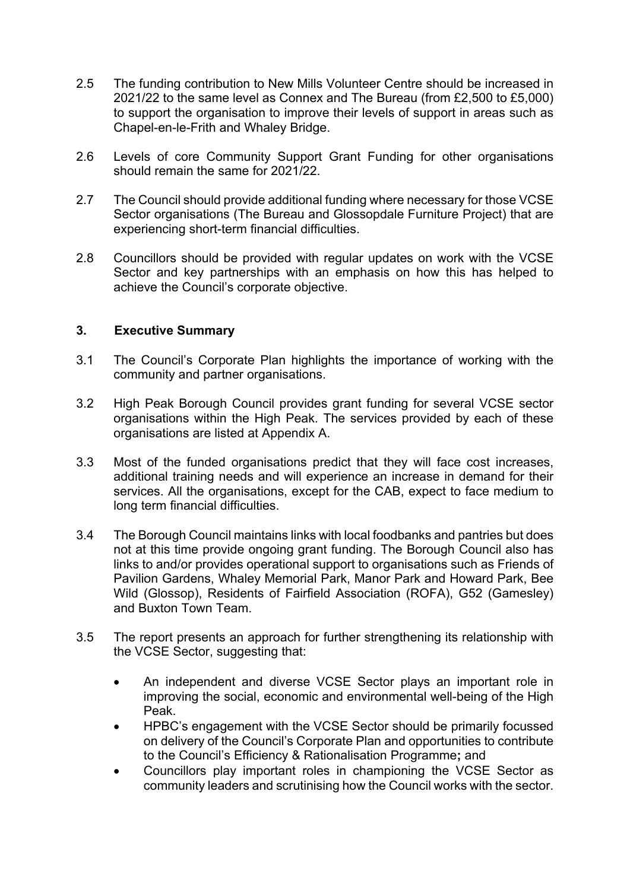- 2.5 The funding contribution to New Mills Volunteer Centre should be increased in 2021/22 to the same level as Connex and The Bureau (from £2,500 to £5,000) to support the organisation to improve their levels of support in areas such as Chapel-en-le-Frith and Whaley Bridge.
- 2.6 Levels of core Community Support Grant Funding for other organisations should remain the same for 2021/22.
- 2.7 The Council should provide additional funding where necessary for those VCSE Sector organisations (The Bureau and Glossopdale Furniture Project) that are experiencing short-term financial difficulties.
- 2.8 Councillors should be provided with regular updates on work with the VCSE Sector and key partnerships with an emphasis on how this has helped to achieve the Council's corporate objective.

#### **3. Executive Summary**

- 3.1 The Council's Corporate Plan highlights the importance of working with the community and partner organisations.
- 3.2 High Peak Borough Council provides grant funding for several VCSE sector organisations within the High Peak. The services provided by each of these organisations are listed at Appendix A.
- 3.3 Most of the funded organisations predict that they will face cost increases, additional training needs and will experience an increase in demand for their services. All the organisations, except for the CAB, expect to face medium to long term financial difficulties.
- 3.4 The Borough Council maintains links with local foodbanks and pantries but does not at this time provide ongoing grant funding. The Borough Council also has links to and/or provides operational support to organisations such as Friends of Pavilion Gardens, Whaley Memorial Park, Manor Park and Howard Park, Bee Wild (Glossop), Residents of Fairfield Association (ROFA), G52 (Gamesley) and Buxton Town Team.
- 3.5 The report presents an approach for further strengthening its relationship with the VCSE Sector, suggesting that:
	- An independent and diverse VCSE Sector plays an important role in improving the social, economic and environmental well-being of the High Peak.
	- HPBC's engagement with the VCSE Sector should be primarily focussed on delivery of the Council's Corporate Plan and opportunities to contribute to the Council's Efficiency & Rationalisation Programme**;** and
	- Councillors play important roles in championing the VCSE Sector as community leaders and scrutinising how the Council works with the sector.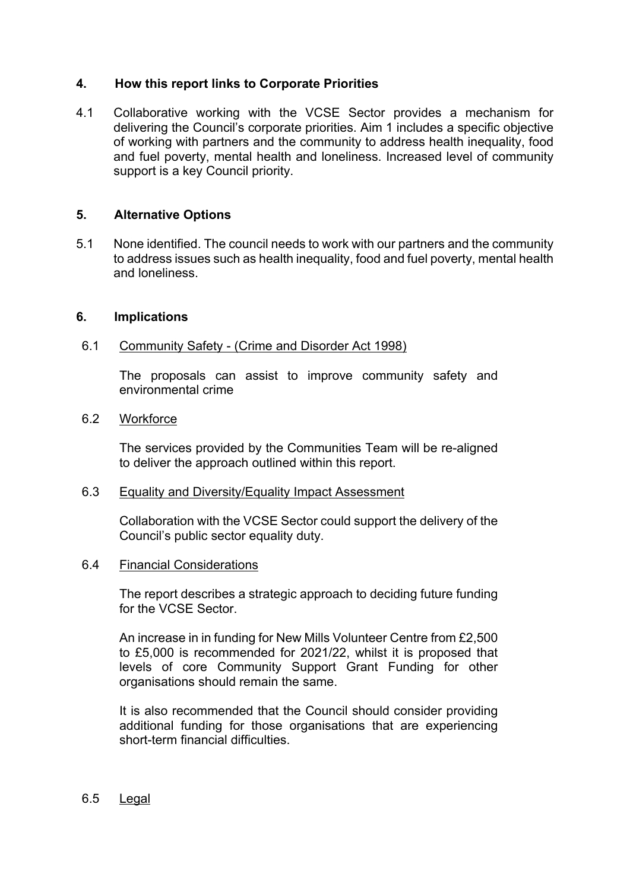#### **4. How this report links to Corporate Priorities**

4.1 Collaborative working with the VCSE Sector provides a mechanism for delivering the Council's corporate priorities. Aim 1 includes a specific objective of working with partners and the community to address health inequality, food and fuel poverty, mental health and loneliness. Increased level of community support is a key Council priority.

#### **5. Alternative Options**

5.1 None identified. The council needs to work with our partners and the community to address issues such as health inequality, food and fuel poverty, mental health and loneliness.

#### **6. Implications**

#### 6.1 Community Safety - (Crime and Disorder Act 1998)

The proposals can assist to improve community safety and environmental crime

#### 6.2 Workforce

The services provided by the Communities Team will be re-aligned to deliver the approach outlined within this report.

#### 6.3 Equality and Diversity/Equality Impact Assessment

Collaboration with the VCSE Sector could support the delivery of the Council's public sector equality duty.

#### 6.4 Financial Considerations

The report describes a strategic approach to deciding future funding for the VCSE Sector.

An increase in in funding for New Mills Volunteer Centre from £2,500 to £5,000 is recommended for 2021/22, whilst it is proposed that levels of core Community Support Grant Funding for other organisations should remain the same.

It is also recommended that the Council should consider providing additional funding for those organisations that are experiencing short-term financial difficulties.

#### 6.5 Legal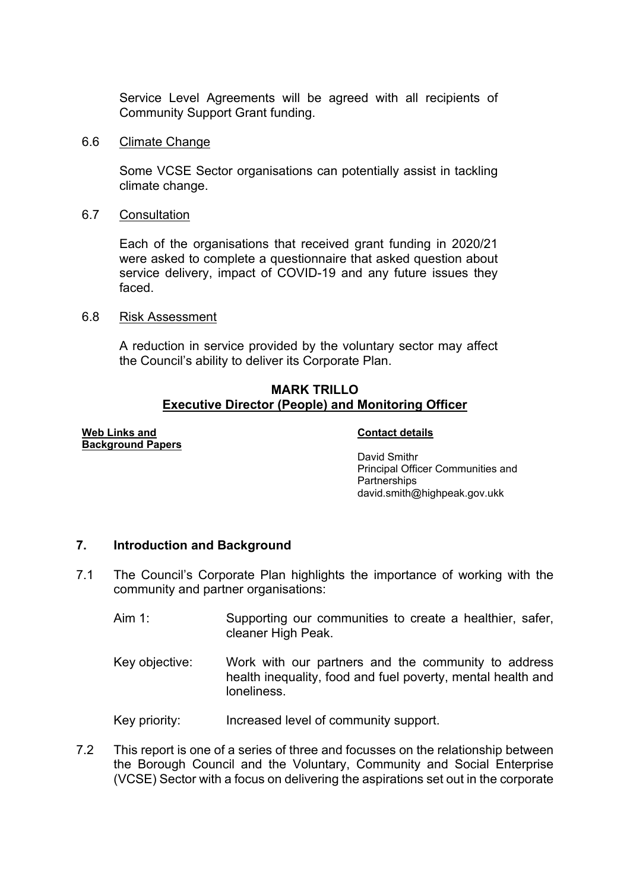Service Level Agreements will be agreed with all recipients of Community Support Grant funding.

#### 6.6 Climate Change

Some VCSE Sector organisations can potentially assist in tackling climate change.

6.7 Consultation

Each of the organisations that received grant funding in 2020/21 were asked to complete a questionnaire that asked question about service delivery, impact of COVID-19 and any future issues they faced.

#### 6.8 Risk Assessment

A reduction in service provided by the voluntary sector may affect the Council's ability to deliver its Corporate Plan.

#### **MARK TRILLO Executive Director (People) and Monitoring Officer**

#### **Web Links and Background Papers**

#### **Contact details**

David Smithr Principal Officer Communities and **Partnerships** david.smith@highpeak.gov.ukk

#### **7. Introduction and Background**

- 7.1 The Council's Corporate Plan highlights the importance of working with the community and partner organisations:
	- Aim 1: Supporting our communities to create a healthier, safer, cleaner High Peak.
	- Key objective: Work with our partners and the community to address health inequality, food and fuel poverty, mental health and loneliness.

Key priority: Increased level of community support.

7.2 This report is one of a series of three and focusses on the relationship between the Borough Council and the Voluntary, Community and Social Enterprise (VCSE) Sector with a focus on delivering the aspirations set out in the corporate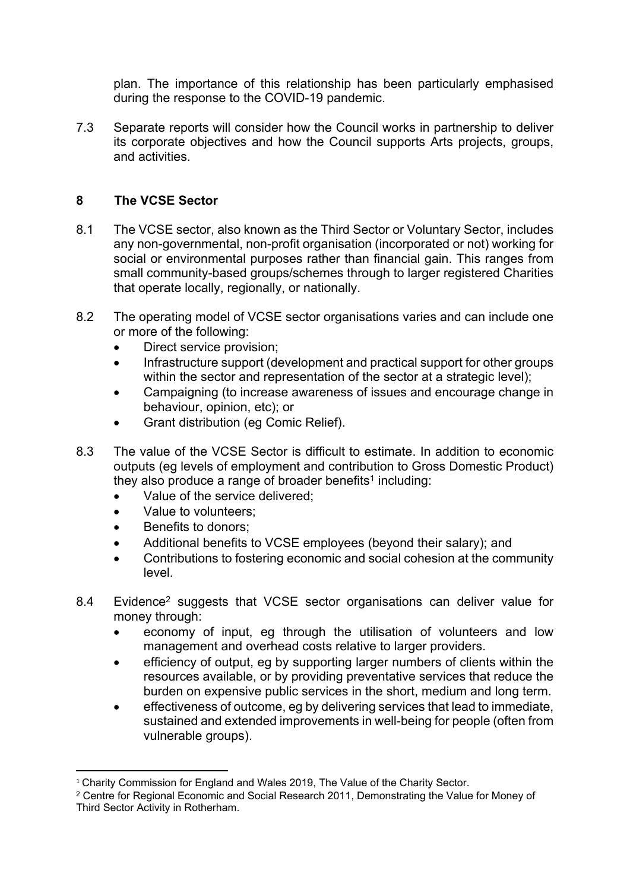plan. The importance of this relationship has been particularly emphasised during the response to the COVID-19 pandemic.

7.3 Separate reports will consider how the Council works in partnership to deliver its corporate objectives and how the Council supports Arts projects, groups, and activities.

### **8 The VCSE Sector**

- 8.1 The VCSE sector, also known as the Third Sector or Voluntary Sector, includes any non-governmental, non-profit organisation (incorporated or not) working for social or environmental purposes rather than financial gain. This ranges from small community-based groups/schemes through to larger registered Charities that operate locally, regionally, or nationally.
- 8.2 The operating model of VCSE sector organisations varies and can include one or more of the following:
	- Direct service provision;
	- Infrastructure support (development and practical support for other groups within the sector and representation of the sector at a strategic level):
	- Campaigning (to increase awareness of issues and encourage change in behaviour, opinion, etc); or
	- Grant distribution (eg Comic Relief).
- 8.3 The value of the VCSE Sector is difficult to estimate. In addition to economic outputs (eg levels of employment and contribution to Gross Domestic Product) they also produce a range of broader benefits<sup>1</sup> including:
	- Value of the service delivered:
	- Value to volunteers:
	- Benefits to donors;
	- Additional benefits to VCSE employees (beyond their salary); and
	- Contributions to fostering economic and social cohesion at the community level.
- 8.4 Evidence<sup>2</sup> suggests that VCSE sector organisations can deliver value for money through:
	- economy of input, eg through the utilisation of volunteers and low management and overhead costs relative to larger providers.
	- efficiency of output, eg by supporting larger numbers of clients within the resources available, or by providing preventative services that reduce the burden on expensive public services in the short, medium and long term.
	- effectiveness of outcome, eg by delivering services that lead to immediate, sustained and extended improvements in well-being for people (often from vulnerable groups).

<sup>&</sup>lt;sup>1</sup> Charity Commission for England and Wales 2019, The Value of the Charity Sector.

<sup>2</sup> Centre for Regional Economic and Social Research 2011, Demonstrating the Value for Money of Third Sector Activity in Rotherham.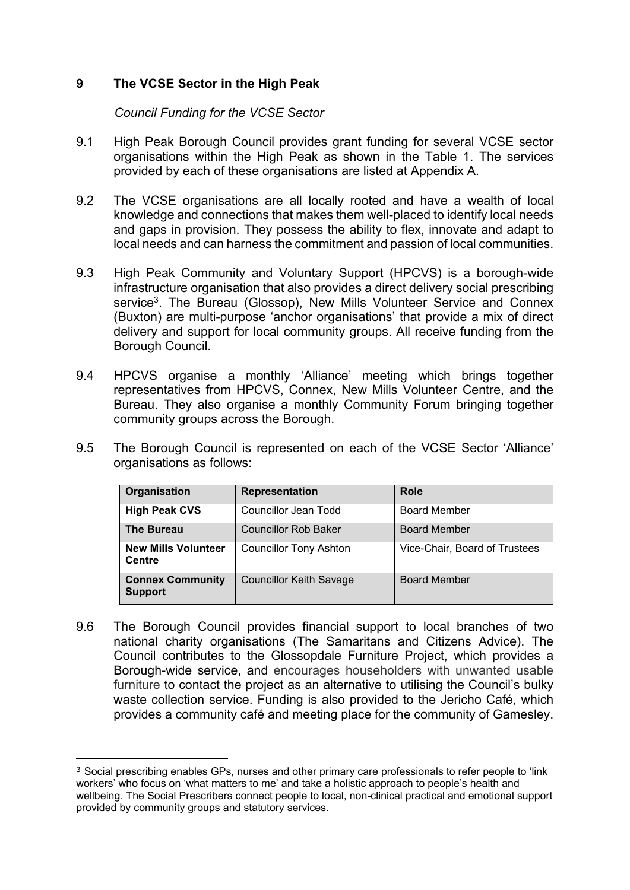### **9 The VCSE Sector in the High Peak**

*Council Funding for the VCSE Sector*

- 9.1 High Peak Borough Council provides grant funding for several VCSE sector organisations within the High Peak as shown in the Table 1. The services provided by each of these organisations are listed at Appendix A.
- 9.2 The VCSE organisations are all locally rooted and have a wealth of local knowledge and connections that makes them well-placed to identify local needs and gaps in provision. They possess the ability to flex, innovate and adapt to local needs and can harness the commitment and passion of local communities.
- 9.3 High Peak Community and Voluntary Support (HPCVS) is a borough-wide infrastructure organisation that also provides a direct delivery social prescribing service<sup>3</sup>. The Bureau (Glossop), New Mills Volunteer Service and Connex (Buxton) are multi-purpose 'anchor organisations' that provide a mix of direct delivery and support for local community groups. All receive funding from the Borough Council.
- 9.4 HPCVS organise a monthly 'Alliance' meeting which brings together representatives from HPCVS, Connex, New Mills Volunteer Centre, and the Bureau. They also organise a monthly Community Forum bringing together community groups across the Borough.
- 9.5 The Borough Council is represented on each of the VCSE Sector 'Alliance' organisations as follows:

| Organisation                                | Representation                 | <b>Role</b>                   |
|---------------------------------------------|--------------------------------|-------------------------------|
| <b>High Peak CVS</b>                        | Councillor Jean Todd           | <b>Board Member</b>           |
| <b>The Bureau</b>                           | <b>Councillor Rob Baker</b>    | <b>Board Member</b>           |
| <b>New Mills Volunteer</b><br><b>Centre</b> | <b>Councillor Tony Ashton</b>  | Vice-Chair, Board of Trustees |
| <b>Connex Community</b><br><b>Support</b>   | <b>Councillor Keith Savage</b> | <b>Board Member</b>           |

9.6 The Borough Council provides financial support to local branches of two national charity organisations (The Samaritans and Citizens Advice). The Council contributes to the Glossopdale Furniture Project, which provides a Borough-wide service, and encourages householders with unwanted usable furniture to contact the project as an alternative to utilising the Council's bulky waste collection service. Funding is also provided to the Jericho Café, which provides a community café and meeting place for the community of Gamesley.

<sup>3</sup> Social prescribing enables GPs, nurses and other primary care professionals to refer people to 'link workers' who focus on 'what matters to me' and take a holistic approach to people's health and wellbeing. The Social Prescribers connect people to local, non-clinical practical and emotional support provided by community groups and statutory services.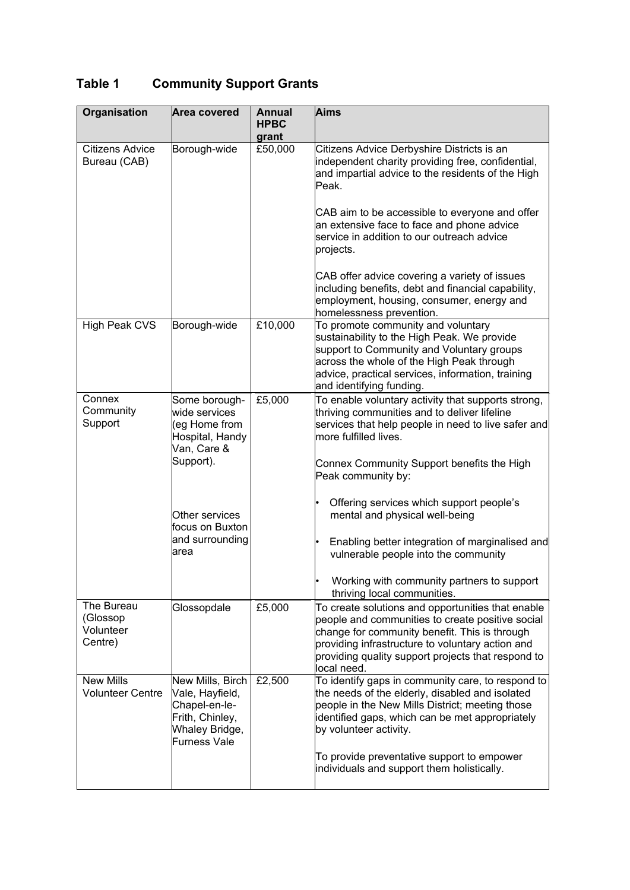# **Table 1 Community Support Grants**

| Organisation                                   | Area covered                                                                                              | <b>Annual</b><br><b>HPBC</b><br>grant | Aims                                                                                                                                                                                                                                                                            |
|------------------------------------------------|-----------------------------------------------------------------------------------------------------------|---------------------------------------|---------------------------------------------------------------------------------------------------------------------------------------------------------------------------------------------------------------------------------------------------------------------------------|
| <b>Citizens Advice</b><br>Bureau (CAB)         | Borough-wide                                                                                              | £50,000                               | Citizens Advice Derbyshire Districts is an<br>independent charity providing free, confidential,<br>and impartial advice to the residents of the High<br>Peak.                                                                                                                   |
|                                                |                                                                                                           |                                       | CAB aim to be accessible to everyone and offer<br>an extensive face to face and phone advice<br>service in addition to our outreach advice<br>projects.                                                                                                                         |
|                                                |                                                                                                           |                                       | CAB offer advice covering a variety of issues<br>including benefits, debt and financial capability,<br>employment, housing, consumer, energy and<br>homelessness prevention.                                                                                                    |
| High Peak CVS                                  | Borough-wide                                                                                              | £10,000                               | To promote community and voluntary<br>sustainability to the High Peak. We provide<br>support to Community and Voluntary groups<br>across the whole of the High Peak through<br>advice, practical services, information, training<br>and identifying funding.                    |
| Connex<br>Community<br>Support                 | Some borough-<br>wide services<br>(eg Home from<br>Hospital, Handy<br>Van, Care &                         | £5,000                                | To enable voluntary activity that supports strong,<br>thriving communities and to deliver lifeline<br>services that help people in need to live safer and<br>more fulfilled lives.                                                                                              |
|                                                | Support).                                                                                                 |                                       | Connex Community Support benefits the High<br>Peak community by:                                                                                                                                                                                                                |
|                                                | Other services<br>focus on Buxton                                                                         |                                       | Offering services which support people's<br>mental and physical well-being                                                                                                                                                                                                      |
|                                                | and surrounding<br>larea                                                                                  |                                       | Enabling better integration of marginalised and<br>vulnerable people into the community                                                                                                                                                                                         |
|                                                |                                                                                                           |                                       | Working with community partners to support<br>thriving local communities.                                                                                                                                                                                                       |
| The Bureau<br>(Glossop<br>Volunteer<br>Centre) | Glossopdale                                                                                               | £5,000                                | To create solutions and opportunities that enable<br>people and communities to create positive social<br>change for community benefit. This is through<br>providing infrastructure to voluntary action and<br>providing quality support projects that respond to<br>local need. |
| <b>New Mills</b><br><b>Volunteer Centre</b>    | New Mills, Birch<br>Vale, Hayfield,<br>Chapel-en-le-<br>Frith, Chinley,<br>Whaley Bridge,<br>Furness Vale | £2,500                                | To identify gaps in community care, to respond to<br>the needs of the elderly, disabled and isolated<br>people in the New Mills District; meeting those<br>identified gaps, which can be met appropriately<br>by volunteer activity.                                            |
|                                                |                                                                                                           |                                       | To provide preventative support to empower<br>individuals and support them holistically.                                                                                                                                                                                        |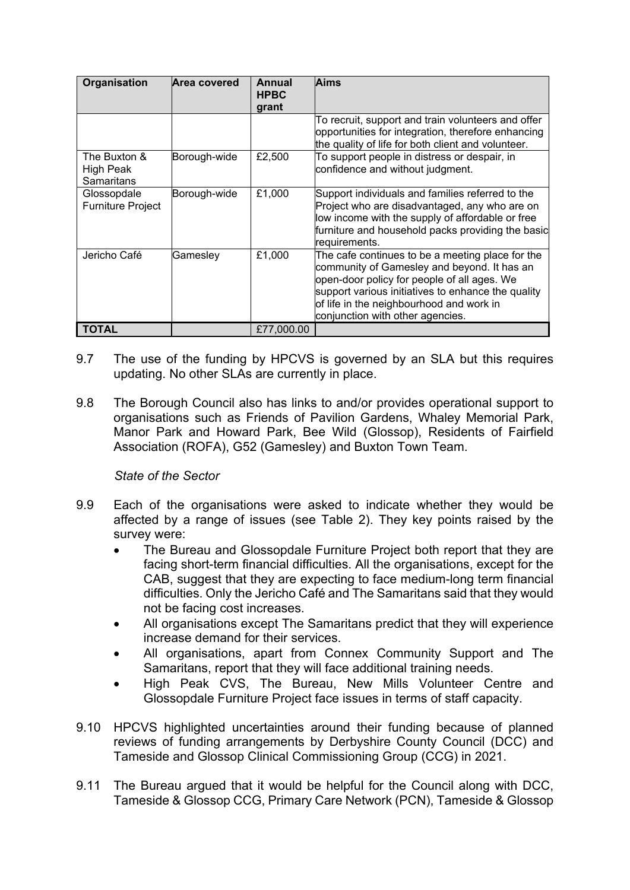| Organisation                            | Area covered | Annual<br><b>HPBC</b><br>grant | Aims                                                                                                                                                                                                                                                                                 |
|-----------------------------------------|--------------|--------------------------------|--------------------------------------------------------------------------------------------------------------------------------------------------------------------------------------------------------------------------------------------------------------------------------------|
|                                         |              |                                | To recruit, support and train volunteers and offer<br>opportunities for integration, therefore enhancing<br>the quality of life for both client and volunteer.                                                                                                                       |
| The Buxton &<br>High Peak<br>Samaritans | Borough-wide | £2,500                         | To support people in distress or despair, in<br>confidence and without judgment.                                                                                                                                                                                                     |
| Glossopdale<br><b>Furniture Project</b> | Borough-wide | £1,000                         | Support individuals and families referred to the<br>Project who are disadvantaged, any who are on<br>low income with the supply of affordable or free<br>furniture and household packs providing the basic<br>requirements.                                                          |
| Jericho Café                            | Gamesley     | £1,000                         | The cafe continues to be a meeting place for the<br>community of Gamesley and beyond. It has an<br>open-door policy for people of all ages. We<br>support various initiatives to enhance the quality<br>of life in the neighbourhood and work in<br>conjunction with other agencies. |
| <b>TOTAL</b>                            |              | £77,000.00                     |                                                                                                                                                                                                                                                                                      |

- 9.7 The use of the funding by HPCVS is governed by an SLA but this requires updating. No other SLAs are currently in place.
- 9.8 The Borough Council also has links to and/or provides operational support to organisations such as Friends of Pavilion Gardens, Whaley Memorial Park, Manor Park and Howard Park, Bee Wild (Glossop), Residents of Fairfield Association (ROFA), G52 (Gamesley) and Buxton Town Team.

#### *State of the Sector*

- 9.9 Each of the organisations were asked to indicate whether they would be affected by a range of issues (see Table 2). They key points raised by the survey were:
	- The Bureau and Glossopdale Furniture Project both report that they are facing short-term financial difficulties. All the organisations, except for the CAB, suggest that they are expecting to face medium-long term financial difficulties. Only the Jericho Café and The Samaritans said that they would not be facing cost increases.
	- All organisations except The Samaritans predict that they will experience increase demand for their services.
	- All organisations, apart from Connex Community Support and The Samaritans, report that they will face additional training needs.
	- High Peak CVS, The Bureau, New Mills Volunteer Centre and Glossopdale Furniture Project face issues in terms of staff capacity.
- 9.10 HPCVS highlighted uncertainties around their funding because of planned reviews of funding arrangements by Derbyshire County Council (DCC) and Tameside and Glossop Clinical Commissioning Group (CCG) in 2021.
- 9.11 The Bureau argued that it would be helpful for the Council along with DCC, Tameside & Glossop CCG, Primary Care Network (PCN), Tameside & Glossop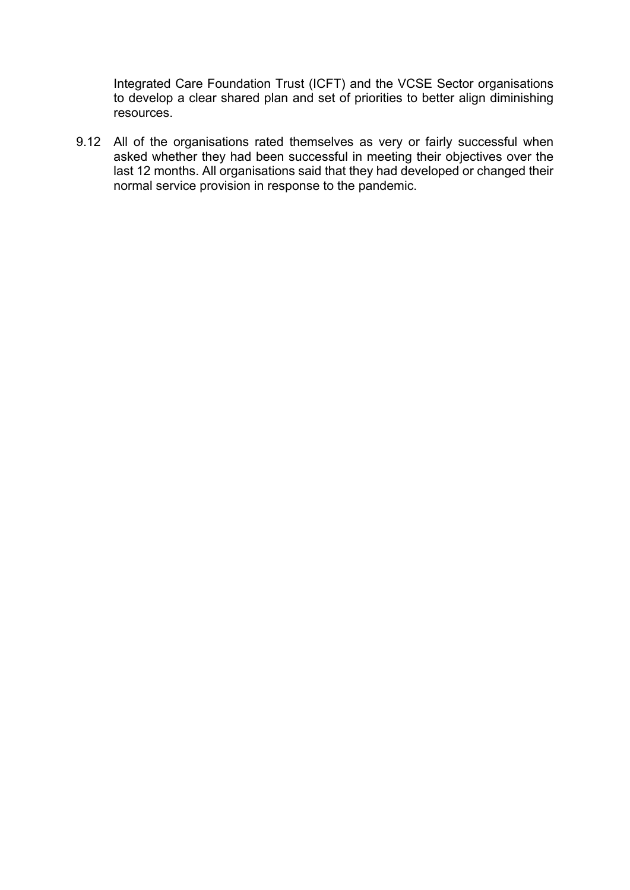Integrated Care Foundation Trust (ICFT) and the VCSE Sector organisations to develop a clear shared plan and set of priorities to better align diminishing resources.

9.12 All of the organisations rated themselves as very or fairly successful when asked whether they had been successful in meeting their objectives over the last 12 months. All organisations said that they had developed or changed their normal service provision in response to the pandemic.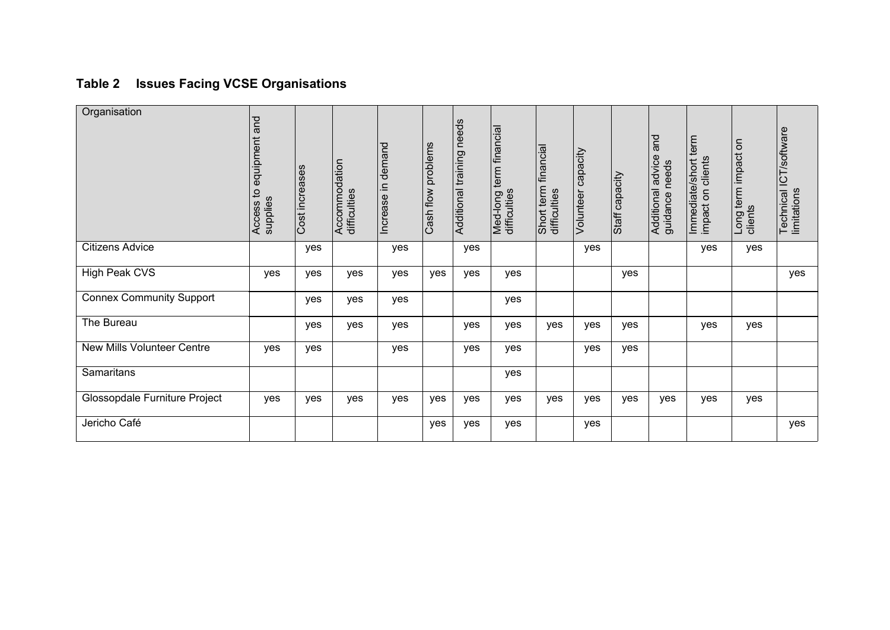# **Table 2 Issues Facing VCSE Organisations**

| Organisation                      | pue<br>equipment<br>$\sigma$<br>supplies<br>Access | Cost increases | Accommodation<br>difficulties | demand<br>Increase in | problems<br>Cash flow | needs<br>Additional training | term financial<br>Med-long t<br>difficulties | financial<br>Short term 1<br>difficulties | capacity<br>Volunteer | Staff capacity | and<br>advice<br>needs<br>Additional<br>guidance | Immediate/short term<br>impact on clients | δ<br>term impact<br>clients<br>Long | Technical ICT/software<br>limitations |
|-----------------------------------|----------------------------------------------------|----------------|-------------------------------|-----------------------|-----------------------|------------------------------|----------------------------------------------|-------------------------------------------|-----------------------|----------------|--------------------------------------------------|-------------------------------------------|-------------------------------------|---------------------------------------|
| <b>Citizens Advice</b>            |                                                    | yes            |                               | yes                   |                       | yes                          |                                              |                                           | yes                   |                |                                                  | yes                                       | yes                                 |                                       |
| High Peak CVS                     | yes                                                | yes            | yes                           | yes                   | yes                   | yes                          | yes                                          |                                           |                       | yes            |                                                  |                                           |                                     | yes                                   |
| <b>Connex Community Support</b>   |                                                    | yes            | yes                           | yes                   |                       |                              | yes                                          |                                           |                       |                |                                                  |                                           |                                     |                                       |
| The Bureau                        |                                                    | yes            | yes                           | yes                   |                       | yes                          | yes                                          | yes                                       | yes                   | yes            |                                                  | yes                                       | yes                                 |                                       |
| <b>New Mills Volunteer Centre</b> | yes                                                | yes            |                               | yes                   |                       | yes                          | yes                                          |                                           | yes                   | yes            |                                                  |                                           |                                     |                                       |
| <b>Samaritans</b>                 |                                                    |                |                               |                       |                       |                              | yes                                          |                                           |                       |                |                                                  |                                           |                                     |                                       |
| Glossopdale Furniture Project     | yes                                                | yes            | yes                           | yes                   | yes                   | yes                          | yes                                          | yes                                       | yes                   | yes            | yes                                              | yes                                       | yes                                 |                                       |
| Jericho Café                      |                                                    |                |                               |                       | yes                   | yes                          | yes                                          |                                           | yes                   |                |                                                  |                                           |                                     | yes                                   |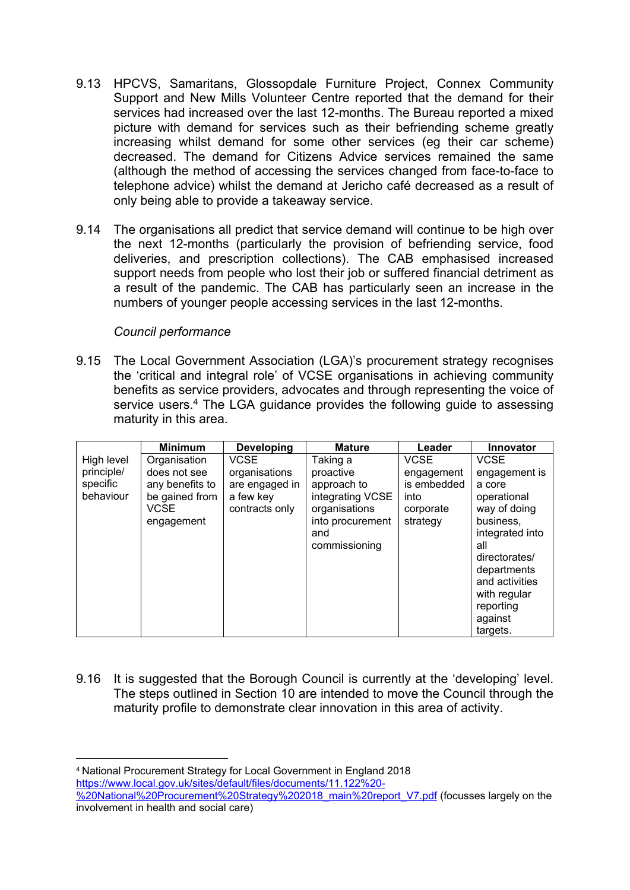- 9.13 HPCVS, Samaritans, Glossopdale Furniture Project, Connex Community Support and New Mills Volunteer Centre reported that the demand for their services had increased over the last 12-months. The Bureau reported a mixed picture with demand for services such as their befriending scheme greatly increasing whilst demand for some other services (eg their car scheme) decreased. The demand for Citizens Advice services remained the same (although the method of accessing the services changed from face-to-face to telephone advice) whilst the demand at Jericho café decreased as a result of only being able to provide a takeaway service.
- 9.14 The organisations all predict that service demand will continue to be high over the next 12-months (particularly the provision of befriending service, food deliveries, and prescription collections). The CAB emphasised increased support needs from people who lost their job or suffered financial detriment as a result of the pandemic. The CAB has particularly seen an increase in the numbers of younger people accessing services in the last 12-months.

#### *Council performance*

9.15 The Local Government Association (LGA)'s procurement strategy recognises the 'critical and integral role' of VCSE organisations in achieving community benefits as service providers, advocates and through representing the voice of service users.<sup>4</sup> The LGA guidance provides the following guide to assessing maturity in this area.

|                                                   | <b>Minimum</b>                                                                                 | <b>Developing</b>                                                             | <b>Mature</b>                                                                                                         | Leader                                                                    | <b>Innovator</b>                                                                                                                                                                                                   |
|---------------------------------------------------|------------------------------------------------------------------------------------------------|-------------------------------------------------------------------------------|-----------------------------------------------------------------------------------------------------------------------|---------------------------------------------------------------------------|--------------------------------------------------------------------------------------------------------------------------------------------------------------------------------------------------------------------|
| High level<br>principle/<br>specific<br>behaviour | Organisation<br>does not see<br>any benefits to<br>be gained from<br><b>VCSE</b><br>engagement | <b>VCSE</b><br>organisations<br>are engaged in<br>a few key<br>contracts only | Taking a<br>proactive<br>approach to<br>integrating VCSE<br>organisations<br>into procurement<br>and<br>commissioning | <b>VCSE</b><br>engagement<br>is embedded<br>into<br>corporate<br>strategy | <b>VCSE</b><br>engagement is<br>a core<br>operational<br>way of doing<br>business,<br>integrated into<br>all<br>directorates/<br>departments<br>and activities<br>with regular<br>reporting<br>against<br>targets. |

9.16 It is suggested that the Borough Council is currently at the 'developing' level. The steps outlined in Section 10 are intended to move the Council through the maturity profile to demonstrate clear innovation in this area of activity.

<sup>4</sup> National Procurement Strategy for Local Government in England 2018 [https://www.local.gov.uk/sites/default/files/documents/11.122%20-](https://www.local.gov.uk/sites/default/files/documents/11.122%20-%20National%20Procurement%20Strategy%202018_main%20report_V7.pdf)

[<sup>%20</sup>National%20Procurement%20Strategy%202018\\_main%20report\\_V7.pdf](https://www.local.gov.uk/sites/default/files/documents/11.122%20-%20National%20Procurement%20Strategy%202018_main%20report_V7.pdf) (focusses largely on the involvement in health and social care)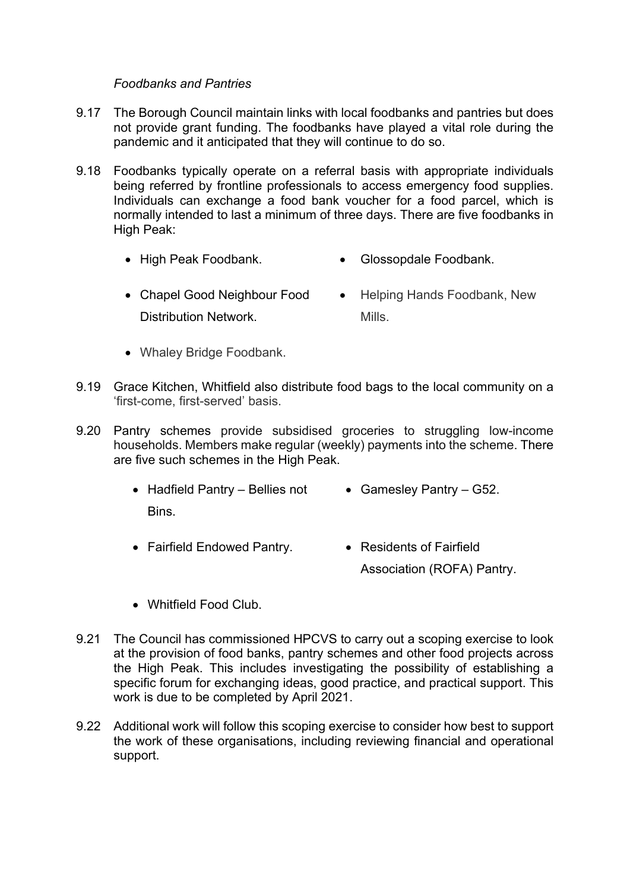#### *Foodbanks and Pantries*

- 9.17 The Borough Council maintain links with local foodbanks and pantries but does not provide grant funding. The foodbanks have played a vital role during the pandemic and it anticipated that they will continue to do so.
- 9.18 Foodbanks typically operate on a referral basis with appropriate individuals being referred by frontline professionals to access emergency food supplies. Individuals can exchange a food bank voucher for a food parcel, which is normally intended to last a minimum of three days. There are five foodbanks in High Peak:
	- High Peak Foodbank. Glossopdale Foodbank.
	- Chapel Good Neighbour Food Distribution Network. • Helping Hands Foodbank, New Mills.
	- Whaley Bridge Foodbank.
- 9.19 Grace Kitchen, Whitfield also distribute food bags to the local community on a 'first-come, first-served' basis.
- 9.20 Pantry schemes provide subsidised groceries to struggling low-income households. Members make regular (weekly) payments into the scheme. There are five such schemes in the High Peak.
	- Hadfield Pantry Bellies not Gamesley Pantry G52. Bins.
	- Fairfield Endowed Pantry. Residents of Fairfield Association (ROFA) Pantry.
	- Whitfield Food Club.
- 9.21 The Council has commissioned HPCVS to carry out a scoping exercise to look at the provision of food banks, pantry schemes and other food projects across the High Peak. This includes investigating the possibility of establishing a specific forum for exchanging ideas, good practice, and practical support. This work is due to be completed by April 2021.
- 9.22 Additional work will follow this scoping exercise to consider how best to support the work of these organisations, including reviewing financial and operational support.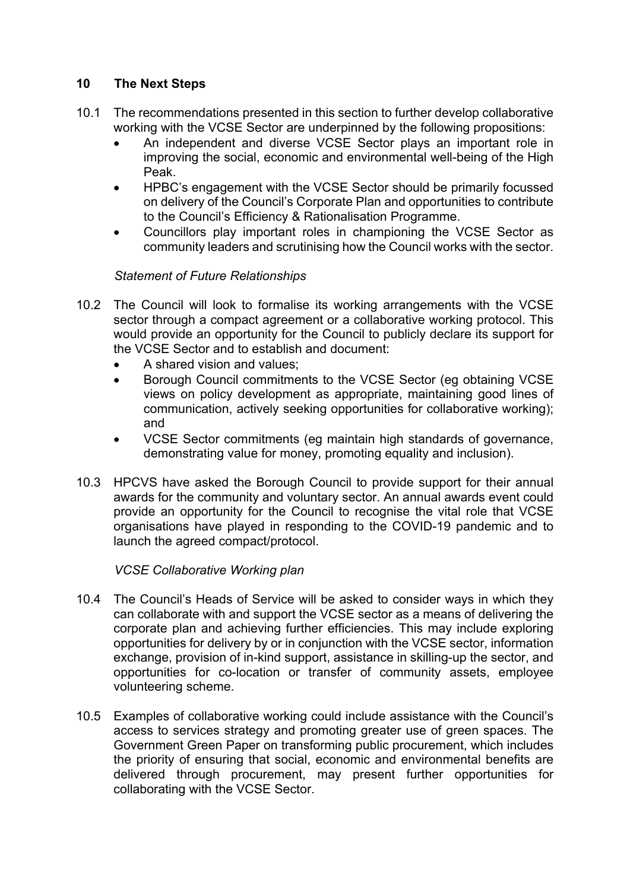### **10 The Next Steps**

- 10.1 The recommendations presented in this section to further develop collaborative working with the VCSE Sector are underpinned by the following propositions:
	- An independent and diverse VCSE Sector plays an important role in improving the social, economic and environmental well-being of the High Peak.
	- HPBC's engagement with the VCSE Sector should be primarily focussed on delivery of the Council's Corporate Plan and opportunities to contribute to the Council's Efficiency & Rationalisation Programme.
	- Councillors play important roles in championing the VCSE Sector as community leaders and scrutinising how the Council works with the sector.

#### *Statement of Future Relationships*

- 10.2 The Council will look to formalise its working arrangements with the VCSE sector through a compact agreement or a collaborative working protocol. This would provide an opportunity for the Council to publicly declare its support for the VCSE Sector and to establish and document:
	- A shared vision and values;
	- Borough Council commitments to the VCSE Sector (eg obtaining VCSE views on policy development as appropriate, maintaining good lines of communication, actively seeking opportunities for collaborative working); and
	- VCSE Sector commitments (eg maintain high standards of governance, demonstrating value for money, promoting equality and inclusion).
- 10.3 HPCVS have asked the Borough Council to provide support for their annual awards for the community and voluntary sector. An annual awards event could provide an opportunity for the Council to recognise the vital role that VCSE organisations have played in responding to the COVID-19 pandemic and to launch the agreed compact/protocol.

#### *VCSE Collaborative Working plan*

- 10.4 The Council's Heads of Service will be asked to consider ways in which they can collaborate with and support the VCSE sector as a means of delivering the corporate plan and achieving further efficiencies. This may include exploring opportunities for delivery by or in conjunction with the VCSE sector, information exchange, provision of in-kind support, assistance in skilling-up the sector, and opportunities for co-location or transfer of community assets, employee volunteering scheme.
- 10.5 Examples of collaborative working could include assistance with the Council's access to services strategy and promoting greater use of green spaces. The Government Green Paper on transforming public procurement, which includes the priority of ensuring that social, economic and environmental benefits are delivered through procurement, may present further opportunities for collaborating with the VCSE Sector.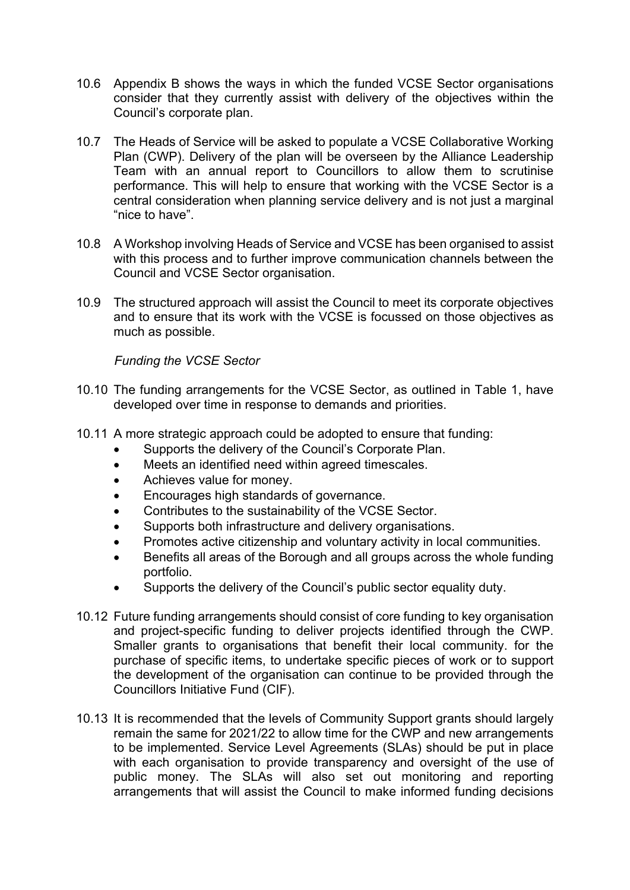- 10.6 Appendix B shows the ways in which the funded VCSE Sector organisations consider that they currently assist with delivery of the objectives within the Council's corporate plan.
- 10.7 The Heads of Service will be asked to populate a VCSE Collaborative Working Plan (CWP). Delivery of the plan will be overseen by the Alliance Leadership Team with an annual report to Councillors to allow them to scrutinise performance. This will help to ensure that working with the VCSE Sector is a central consideration when planning service delivery and is not just a marginal "nice to have".
- 10.8 A Workshop involving Heads of Service and VCSE has been organised to assist with this process and to further improve communication channels between the Council and VCSE Sector organisation.
- 10.9 The structured approach will assist the Council to meet its corporate objectives and to ensure that its work with the VCSE is focussed on those objectives as much as possible.

*Funding the VCSE Sector*

- 10.10 The funding arrangements for the VCSE Sector, as outlined in Table 1, have developed over time in response to demands and priorities.
- 10.11 A more strategic approach could be adopted to ensure that funding:
	- Supports the delivery of the Council's Corporate Plan.
	- Meets an identified need within agreed timescales.
	- Achieves value for money.
	- Encourages high standards of governance.
	- Contributes to the sustainability of the VCSE Sector.
	- Supports both infrastructure and delivery organisations.
	- Promotes active citizenship and voluntary activity in local communities.
	- Benefits all areas of the Borough and all groups across the whole funding portfolio.
	- Supports the delivery of the Council's public sector equality duty.
- 10.12 Future funding arrangements should consist of core funding to key organisation and project-specific funding to deliver projects identified through the CWP. Smaller grants to organisations that benefit their local community. for the purchase of specific items, to undertake specific pieces of work or to support the development of the organisation can continue to be provided through the Councillors Initiative Fund (CIF).
- 10.13 It is recommended that the levels of Community Support grants should largely remain the same for 2021/22 to allow time for the CWP and new arrangements to be implemented. Service Level Agreements (SLAs) should be put in place with each organisation to provide transparency and oversight of the use of public money. The SLAs will also set out monitoring and reporting arrangements that will assist the Council to make informed funding decisions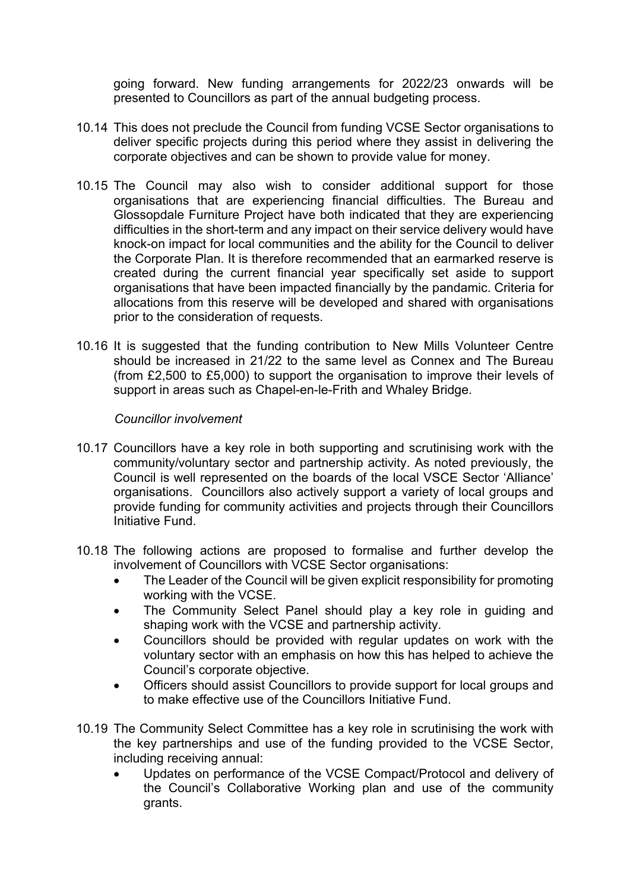going forward. New funding arrangements for 2022/23 onwards will be presented to Councillors as part of the annual budgeting process.

- 10.14 This does not preclude the Council from funding VCSE Sector organisations to deliver specific projects during this period where they assist in delivering the corporate objectives and can be shown to provide value for money.
- 10.15 The Council may also wish to consider additional support for those organisations that are experiencing financial difficulties. The Bureau and Glossopdale Furniture Project have both indicated that they are experiencing difficulties in the short-term and any impact on their service delivery would have knock-on impact for local communities and the ability for the Council to deliver the Corporate Plan. It is therefore recommended that an earmarked reserve is created during the current financial year specifically set aside to support organisations that have been impacted financially by the pandamic. Criteria for allocations from this reserve will be developed and shared with organisations prior to the consideration of requests.
- 10.16 It is suggested that the funding contribution to New Mills Volunteer Centre should be increased in 21/22 to the same level as Connex and The Bureau (from £2,500 to £5,000) to support the organisation to improve their levels of support in areas such as Chapel-en-le-Frith and Whaley Bridge.

#### *Councillor involvement*

- 10.17 Councillors have a key role in both supporting and scrutinising work with the community/voluntary sector and partnership activity. As noted previously, the Council is well represented on the boards of the local VSCE Sector 'Alliance' organisations. Councillors also actively support a variety of local groups and provide funding for community activities and projects through their Councillors Initiative Fund.
- 10.18 The following actions are proposed to formalise and further develop the involvement of Councillors with VCSE Sector organisations:
	- The Leader of the Council will be given explicit responsibility for promoting working with the VCSE.
	- The Community Select Panel should play a key role in guiding and shaping work with the VCSE and partnership activity.
	- Councillors should be provided with regular updates on work with the voluntary sector with an emphasis on how this has helped to achieve the Council's corporate objective.
	- Officers should assist Councillors to provide support for local groups and to make effective use of the Councillors Initiative Fund.
- 10.19 The Community Select Committee has a key role in scrutinising the work with the key partnerships and use of the funding provided to the VCSE Sector, including receiving annual:
	- Updates on performance of the VCSE Compact/Protocol and delivery of the Council's Collaborative Working plan and use of the community grants.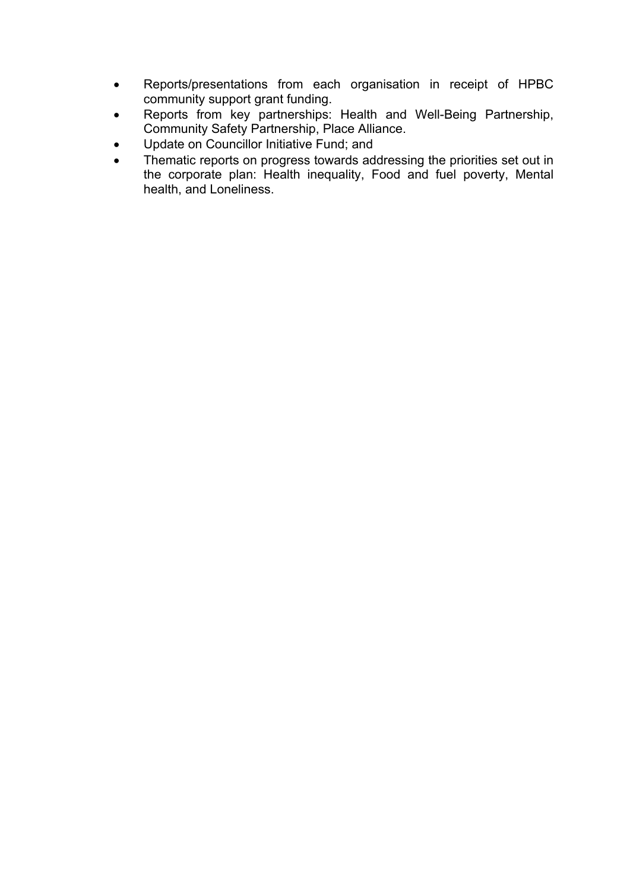- Reports/presentations from each organisation in receipt of HPBC community support grant funding.
- Reports from key partnerships: Health and Well-Being Partnership, Community Safety Partnership, Place Alliance.
- Update on Councillor Initiative Fund; and
- Thematic reports on progress towards addressing the priorities set out in the corporate plan: Health inequality, Food and fuel poverty, Mental health, and Loneliness.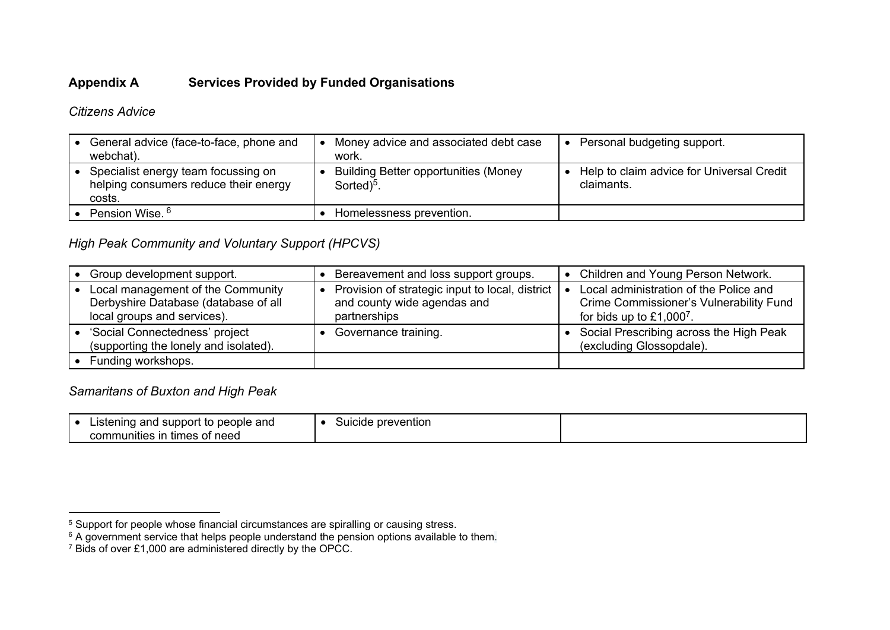### **Appendix A Services Provided by Funded Organisations**

*Citizens Advice*

| General advice (face-to-face, phone and<br>webchat).                                   | Money advice and associated debt case<br>work.                        | Personal budgeting support.                             |
|----------------------------------------------------------------------------------------|-----------------------------------------------------------------------|---------------------------------------------------------|
| Specialist energy team focussing on<br>helping consumers reduce their energy<br>costs. | <b>Building Better opportunities (Money</b><br>Sorted) <sup>5</sup> . | Help to claim advice for Universal Credit<br>claimants. |
| Pension Wise. <sup>6</sup>                                                             | Homelessness prevention.                                              |                                                         |

# *High Peak Community and Voluntary Support (HPCVS)*

| Group development support.                                                                               | Bereavement and loss support groups.                                                               | Children and Young Person Network.                                                                              |
|----------------------------------------------------------------------------------------------------------|----------------------------------------------------------------------------------------------------|-----------------------------------------------------------------------------------------------------------------|
| Local management of the Community<br>Derbyshire Database (database of all<br>local groups and services). | Provision of strategic input to local, district   •<br>and county wide agendas and<br>partnerships | Local administration of the Police and<br>Crime Commissioner's Vulnerability Fund<br>for bids up to $£1,0007$ . |
| 'Social Connectedness' project<br>(supporting the lonely and isolated).                                  | Governance training.                                                                               | Social Prescribing across the High Peak<br>(excluding Glossopdale).                                             |
| Funding workshops.                                                                                       |                                                                                                    |                                                                                                                 |

# *Samaritans of Buxton and High Peak*

| people and<br>I support<br>and<br>nıng<br>Liste<br>. ιο<br>. .<br>.<br>of need<br>communities in<br>times<br>ו טי | <b>prevention</b><br>suicide |  |
|-------------------------------------------------------------------------------------------------------------------|------------------------------|--|
|-------------------------------------------------------------------------------------------------------------------|------------------------------|--|

 $5$  Support for people whose financial circumstances are spiralling or causing stress.

 $6$  A government service that helps people understand the pension options available to them.

<sup>7</sup> Bids of over £1,000 are administered directly by the OPCC.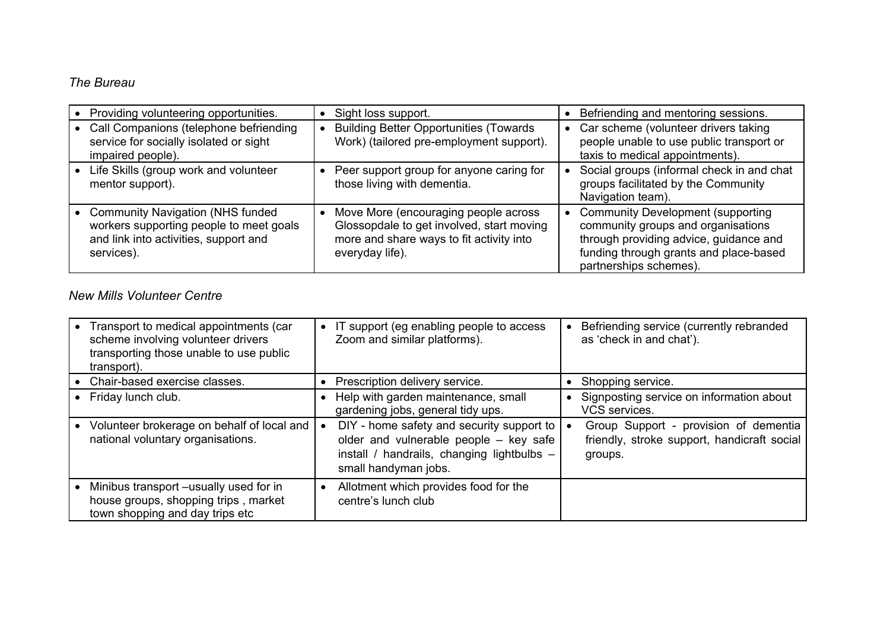# *The Bureau*

| Providing volunteering opportunities.                                                                                                      | Sight loss support.                                                                                                                              | Befriending and mentoring sessions.                                                                                                                                                     |
|--------------------------------------------------------------------------------------------------------------------------------------------|--------------------------------------------------------------------------------------------------------------------------------------------------|-----------------------------------------------------------------------------------------------------------------------------------------------------------------------------------------|
| Call Companions (telephone befriending<br>service for socially isolated or sight<br>impaired people).                                      | <b>Building Better Opportunities (Towards)</b><br>Work) (tailored pre-employment support).                                                       | • Car scheme (volunteer drivers taking<br>people unable to use public transport or<br>taxis to medical appointments).                                                                   |
| Life Skills (group work and volunteer<br>mentor support).                                                                                  | Peer support group for anyone caring for<br>those living with dementia.                                                                          | Social groups (informal check in and chat<br>groups facilitated by the Community<br>Navigation team).                                                                                   |
| <b>Community Navigation (NHS funded)</b><br>workers supporting people to meet goals<br>and link into activities, support and<br>services). | Move More (encouraging people across<br>Glossopdale to get involved, start moving<br>more and share ways to fit activity into<br>everyday life). | • Community Development (supporting<br>community groups and organisations<br>through providing advice, guidance and<br>funding through grants and place-based<br>partnerships schemes). |

# *New Mills Volunteer Centre*

|           | Transport to medical appointments (car<br>scheme involving volunteer drivers<br>transporting those unable to use public<br>transport). | IT support (eg enabling people to access<br>Zoom and similar platforms).                                                                                            |           | Befriending service (currently rebranded<br>as 'check in and chat').                            |
|-----------|----------------------------------------------------------------------------------------------------------------------------------------|---------------------------------------------------------------------------------------------------------------------------------------------------------------------|-----------|-------------------------------------------------------------------------------------------------|
|           | Chair-based exercise classes.                                                                                                          | • Prescription delivery service.                                                                                                                                    |           | • Shopping service.                                                                             |
| $\bullet$ | Friday lunch club.                                                                                                                     | Help with garden maintenance, small<br>gardening jobs, general tidy ups.                                                                                            | $\bullet$ | Signposting service on information about<br>VCS services.                                       |
|           | Volunteer brokerage on behalf of local and<br>national voluntary organisations.                                                        | $D/Y$ - home safety and security support to $\vert$<br>older and vulnerable people - key safe<br>install / handrails, changing lightbulbs -<br>small handyman jobs. |           | Group Support - provision of dementia<br>friendly, stroke support, handicraft social<br>groups. |
|           | Minibus transport -usually used for in<br>house groups, shopping trips, market<br>town shopping and day trips etc                      | Allotment which provides food for the<br>centre's lunch club                                                                                                        |           |                                                                                                 |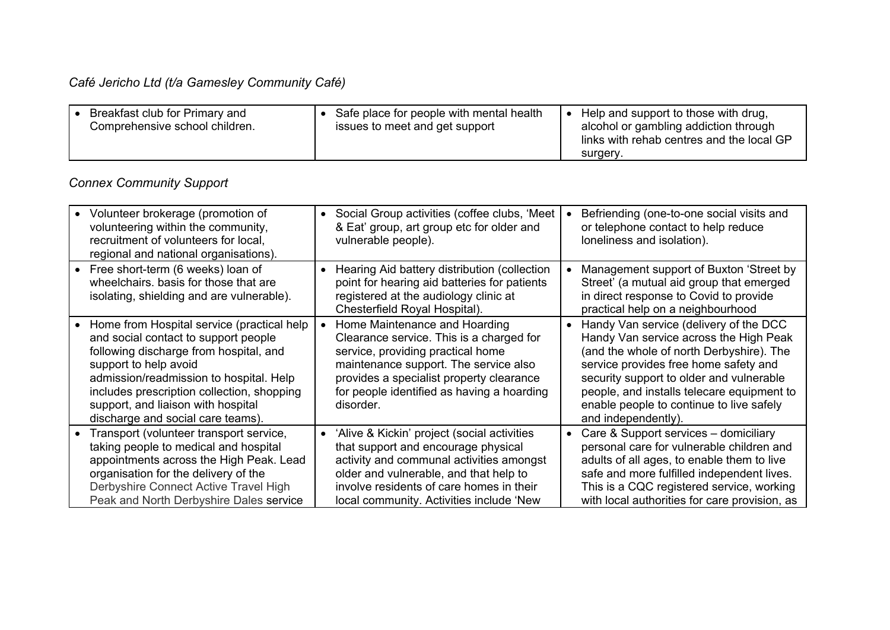# *Café Jericho Ltd (t/a Gamesley Community Café)*

| Breakfast club for Primary and<br>Comprehensive school children. | Safe place for people with mental health<br>issues to meet and get support | Help and support to those with drug,<br>alcohol or gambling addiction through<br>links with rehab centres and the local GP |
|------------------------------------------------------------------|----------------------------------------------------------------------------|----------------------------------------------------------------------------------------------------------------------------|
|                                                                  |                                                                            | surgery.                                                                                                                   |

# *Connex Community Support*

| • Volunteer brokerage (promotion of<br>volunteering within the community,<br>recruitment of volunteers for local,<br>regional and national organisations).                                                                                                                                                                  | Social Group activities (coffee clubs, 'Meet<br>$\bullet$<br>& Eat' group, art group etc for older and<br>vulnerable people).                                                                                                                                      | Befriending (one-to-one social visits and<br>or telephone contact to help reduce<br>loneliness and isolation).                                                                                                                                                                                                                     |
|-----------------------------------------------------------------------------------------------------------------------------------------------------------------------------------------------------------------------------------------------------------------------------------------------------------------------------|--------------------------------------------------------------------------------------------------------------------------------------------------------------------------------------------------------------------------------------------------------------------|------------------------------------------------------------------------------------------------------------------------------------------------------------------------------------------------------------------------------------------------------------------------------------------------------------------------------------|
| • Free short-term (6 weeks) loan of<br>wheelchairs, basis for those that are<br>isolating, shielding and are vulnerable).                                                                                                                                                                                                   | Hearing Aid battery distribution (collection<br>point for hearing aid batteries for patients<br>registered at the audiology clinic at<br>Chesterfield Royal Hospital).                                                                                             | Management support of Buxton 'Street by<br>Street' (a mutual aid group that emerged<br>in direct response to Covid to provide<br>practical help on a neighbourhood                                                                                                                                                                 |
| • Home from Hospital service (practical help<br>and social contact to support people<br>following discharge from hospital, and<br>support to help avoid<br>admission/readmission to hospital. Help<br>includes prescription collection, shopping<br>support, and liaison with hospital<br>discharge and social care teams). | Home Maintenance and Hoarding<br>Clearance service. This is a charged for<br>service, providing practical home<br>maintenance support. The service also<br>provides a specialist property clearance<br>for people identified as having a hoarding<br>disorder.     | Handy Van service (delivery of the DCC<br>Handy Van service across the High Peak<br>(and the whole of north Derbyshire). The<br>service provides free home safety and<br>security support to older and vulnerable<br>people, and installs telecare equipment to<br>enable people to continue to live safely<br>and independently). |
| • Transport (volunteer transport service,<br>taking people to medical and hospital<br>appointments across the High Peak. Lead<br>organisation for the delivery of the<br>Derbyshire Connect Active Travel High<br>Peak and North Derbyshire Dales service                                                                   | • 'Alive & Kickin' project (social activities<br>that support and encourage physical<br>activity and communal activities amongst<br>older and vulnerable, and that help to<br>involve residents of care homes in their<br>local community. Activities include 'New | Care & Support services – domiciliary<br>$\bullet$<br>personal care for vulnerable children and<br>adults of all ages, to enable them to live<br>safe and more fulfilled independent lives.<br>This is a CQC registered service, working<br>with local authorities for care provision, as                                          |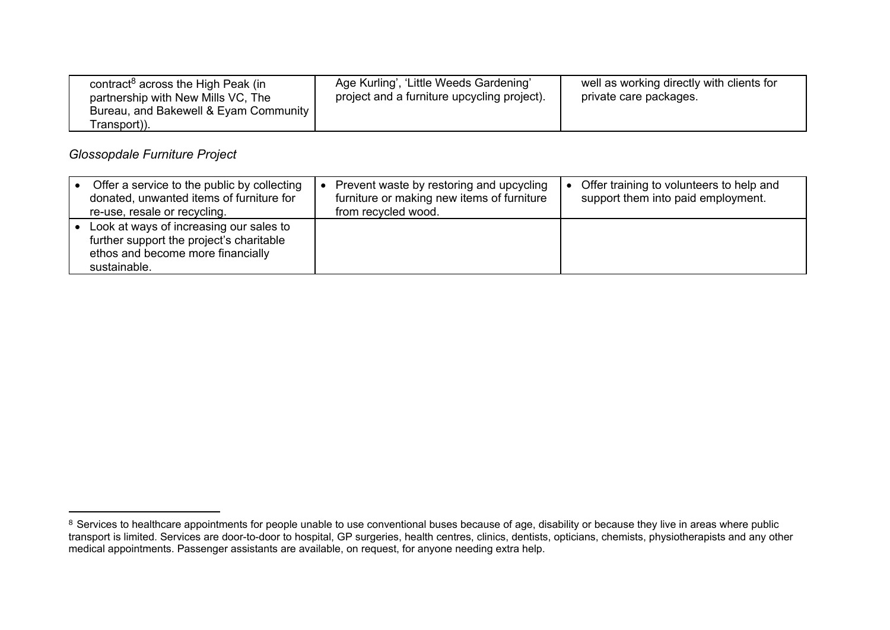| contract <sup>8</sup> across the High Peak (in<br>partnership with New Mills VC, The<br>Bureau, and Bakewell & Eyam Community<br>Transport)). | Age Kurling', 'Little Weeds Gardening'<br>project and a furniture upcycling project). | well as working directly with clients for<br>private care packages. |
|-----------------------------------------------------------------------------------------------------------------------------------------------|---------------------------------------------------------------------------------------|---------------------------------------------------------------------|
|-----------------------------------------------------------------------------------------------------------------------------------------------|---------------------------------------------------------------------------------------|---------------------------------------------------------------------|

### *Glossopdale Furniture Project*

| Offer a service to the public by collecting<br>donated, unwanted items of furniture for<br>re-use, resale or recycling.                  | Prevent waste by restoring and upcycling<br>furniture or making new items of furniture<br>from recycled wood. | Offer training to volunteers to help and<br>support them into paid employment. |
|------------------------------------------------------------------------------------------------------------------------------------------|---------------------------------------------------------------------------------------------------------------|--------------------------------------------------------------------------------|
| Look at ways of increasing our sales to<br>further support the project's charitable<br>ethos and become more financially<br>sustainable. |                                                                                                               |                                                                                |

 $8$  Services to healthcare appointments for people unable to use conventional buses because of age, disability or because they live in areas where public transport is limited. Services are door-to-door to hospital, GP surgeries, health centres, clinics, dentists, opticians, chemists, physiotherapists and any other medical appointments. Passenger assistants are available, on request, for anyone needing extra help.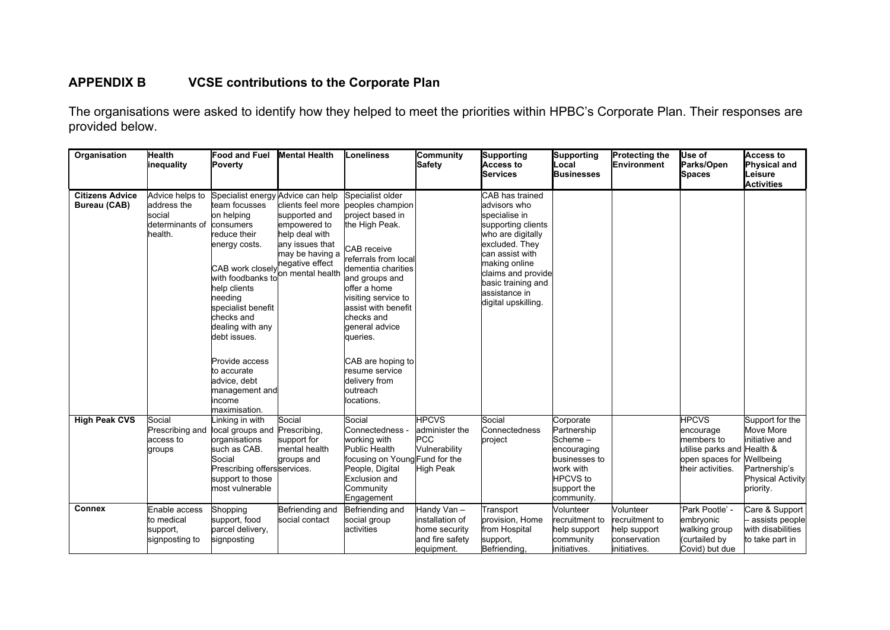# **APPENDIX B VCSE contributions to the Corporate Plan**

The organisations were asked to identify how they helped to meet the priorities within HPBC's Corporate Plan. Their responses are provided below.

| Organisation                                  | <b>Health</b><br>inequality                                            | Food and Fuel<br><b>Poverty</b>                                                                                                                                                                                                                                                                                                           | <b>Mental Health</b>                                                                                                                              | Loneliness                                                                                                                                                                                                                                                                                                                                             | Community<br><b>Safety</b>                                                       | Supporting<br>Access to<br><b>Services</b>                                                                                                                                                                                            | Supporting<br>Local<br><b>Businesses</b>                                                                                         | <b>Protecting the</b><br>Environment                                        | Use of<br><b>Parks/Open</b><br>Spaces                                                                         | Access to<br><b>Physical and</b><br>Leisure<br><b>Activities</b>                                                      |
|-----------------------------------------------|------------------------------------------------------------------------|-------------------------------------------------------------------------------------------------------------------------------------------------------------------------------------------------------------------------------------------------------------------------------------------------------------------------------------------|---------------------------------------------------------------------------------------------------------------------------------------------------|--------------------------------------------------------------------------------------------------------------------------------------------------------------------------------------------------------------------------------------------------------------------------------------------------------------------------------------------------------|----------------------------------------------------------------------------------|---------------------------------------------------------------------------------------------------------------------------------------------------------------------------------------------------------------------------------------|----------------------------------------------------------------------------------------------------------------------------------|-----------------------------------------------------------------------------|---------------------------------------------------------------------------------------------------------------|-----------------------------------------------------------------------------------------------------------------------|
| <b>Citizens Advice</b><br><b>Bureau (CAB)</b> | Advice helps to<br>address the<br>social<br>determinants of<br>health. | Specialist energy Advice can help<br>team focusses<br>on helping<br>consumers<br>reduce their<br>energy costs.<br>CAB work closely<br>with foodbanks tol<br>help clients<br>needing<br>specialist benefit<br>checks and<br>dealing with any<br>debt issues.<br>Provide access<br>to accurate<br>ladvice, debt<br>management and<br>income | clients feel more<br>supported and<br>empowered to<br>help deal with<br>any issues that<br>may be having a<br>negative effect<br>on mental health | Specialist older<br>peoples champion<br>project based in<br>the High Peak.<br>CAB receive<br>referrals from local<br>dementia charities<br>and groups and<br>offer a home<br>visiting service to<br>assist with benefit<br>checks and<br>general advice<br>queries.<br>CAB are hoping to<br>resume service<br>delivery from<br>loutreach<br>locations. |                                                                                  | CAB has trained<br>advisors who<br>specialise in<br>supporting clients<br>who are digitally<br>excluded. They<br>can assist with<br>making online<br>claims and provide<br>basic training and<br>assistance in<br>digital upskilling. |                                                                                                                                  |                                                                             |                                                                                                               |                                                                                                                       |
| <b>High Peak CVS</b>                          | Social<br>Prescribing and<br>access to<br>groups                       | maximisation.<br>Linking in with<br>local groups and<br>organisations<br>such as CAB.<br>Social<br>Prescribing offersservices.<br>support to those<br>lmost vulnerable                                                                                                                                                                    | Social<br>Prescribing,<br>support for<br>mental health<br>groups and                                                                              | Social<br>Connectedness -<br>working with<br>Public Health<br>focusing on Young Fund for the<br>People, Digital<br>Exclusion and<br>Community<br>Engagement                                                                                                                                                                                            | <b>HPCVS</b><br>administer the<br><b>PCC</b><br>Vulnerability<br>High Peak       | Social<br>Connectedness<br>project                                                                                                                                                                                                    | Corporate<br>Partnership<br>Scheme-<br>encouraging<br>businesses to<br>work with<br><b>HPCVS</b> to<br>support the<br>community. |                                                                             | <b>HPCVS</b><br>encourage<br>members to<br>utilise parks and Health &<br>open spaces for<br>their activities. | Support for the<br>Move More<br>initiative and<br>Wellbeing<br>Partnership's<br><b>Physical Activity</b><br>priority. |
| <b>Connex</b>                                 | Enable access<br>to medical<br>support,<br>signposting to              | Shopping<br>support, food<br>parcel delivery,<br>signposting                                                                                                                                                                                                                                                                              | Befriending and<br>social contact                                                                                                                 | Befriending and<br>social group<br>activities                                                                                                                                                                                                                                                                                                          | Handy Van –<br>installation of<br>home security<br>and fire safety<br>equipment. | Transport<br>provision, Home<br>from Hospital<br>support,<br>Befriending.                                                                                                                                                             | Volunteer<br>recruitment to<br>help support<br>community<br>initiatives.                                                         | Volunteer<br>recruitment to<br>help support<br>conservation<br>initiatives. | 'Park Pootle' -<br>embryonic<br>walking group<br>curtailed by<br>Covid) but due                               | Care & Support<br>assists people<br>with disabilities<br>to take part in                                              |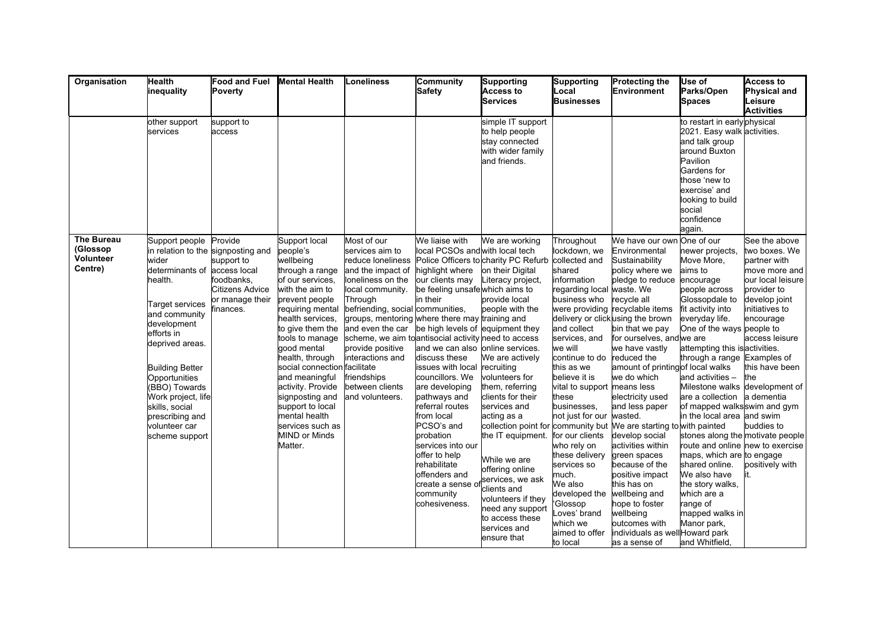| Organisation                                   | <b>Health</b><br>inequality                                                                                                                                                                                                                                                                          | <b>Food and Fuel</b><br>Poverty                                                                                                              | <b>Mental Health</b>                                                                                                                                                                                                                                                                                                                                                                                               | Loneliness                                                                                                                                                                                                                                                                                                                                                                                  | Community<br>Safety                                                                                                                                                                                                                                                                                                                                                                                                                                                        | Supporting<br>Access to<br><b>Services</b>                                                                                                                                                                                                                                                                                                                                                                                                                                                                                                                                 | Supporting<br>Local<br><b>Businesses</b>                                                                                                                                                                                                                                                                                                                                                                                                   | <b>Protecting the</b><br><b>Environment</b>                                                                                                                                                                                                                                                                                                                                                                                                                                                                                                                                               | Use of<br>Parks/Open<br><b>Spaces</b>                                                                                                                                                                                                                                                                                                                                                                                                                                                                                                                                                                                                    | Access to<br><b>Physical and</b><br>Leisure<br><b>Activities</b>                                                                                                                                                                |
|------------------------------------------------|------------------------------------------------------------------------------------------------------------------------------------------------------------------------------------------------------------------------------------------------------------------------------------------------------|----------------------------------------------------------------------------------------------------------------------------------------------|--------------------------------------------------------------------------------------------------------------------------------------------------------------------------------------------------------------------------------------------------------------------------------------------------------------------------------------------------------------------------------------------------------------------|---------------------------------------------------------------------------------------------------------------------------------------------------------------------------------------------------------------------------------------------------------------------------------------------------------------------------------------------------------------------------------------------|----------------------------------------------------------------------------------------------------------------------------------------------------------------------------------------------------------------------------------------------------------------------------------------------------------------------------------------------------------------------------------------------------------------------------------------------------------------------------|----------------------------------------------------------------------------------------------------------------------------------------------------------------------------------------------------------------------------------------------------------------------------------------------------------------------------------------------------------------------------------------------------------------------------------------------------------------------------------------------------------------------------------------------------------------------------|--------------------------------------------------------------------------------------------------------------------------------------------------------------------------------------------------------------------------------------------------------------------------------------------------------------------------------------------------------------------------------------------------------------------------------------------|-------------------------------------------------------------------------------------------------------------------------------------------------------------------------------------------------------------------------------------------------------------------------------------------------------------------------------------------------------------------------------------------------------------------------------------------------------------------------------------------------------------------------------------------------------------------------------------------|------------------------------------------------------------------------------------------------------------------------------------------------------------------------------------------------------------------------------------------------------------------------------------------------------------------------------------------------------------------------------------------------------------------------------------------------------------------------------------------------------------------------------------------------------------------------------------------------------------------------------------------|---------------------------------------------------------------------------------------------------------------------------------------------------------------------------------------------------------------------------------|
|                                                | other support<br>services                                                                                                                                                                                                                                                                            | support to<br>access                                                                                                                         |                                                                                                                                                                                                                                                                                                                                                                                                                    |                                                                                                                                                                                                                                                                                                                                                                                             |                                                                                                                                                                                                                                                                                                                                                                                                                                                                            | simple IT support<br>to help people<br>stay connected<br>with wider family<br>and friends.                                                                                                                                                                                                                                                                                                                                                                                                                                                                                 |                                                                                                                                                                                                                                                                                                                                                                                                                                            |                                                                                                                                                                                                                                                                                                                                                                                                                                                                                                                                                                                           | to restart in early physical<br>2021. Easy walk activities.<br>and talk group<br>around Buxton<br>Pavilion<br>Gardens for<br>those 'new to<br>exercise' and<br>looking to build<br>social<br>confidence<br>again.                                                                                                                                                                                                                                                                                                                                                                                                                        |                                                                                                                                                                                                                                 |
| The Bureau<br>(Glossop<br>Volunteer<br>Centre) | Support people<br>wider<br>determinants of<br>าealth.<br>Target services<br>and community<br>development<br>efforts in<br>deprived areas.<br><b>Building Better</b><br>Opportunities<br>(BBO) Towards<br>Work project, lifel<br>skills, social<br>prescribing and<br>volunteer car<br>scheme support | Provide<br>in relation to the signposting and<br>support to<br>access local<br>foodbanks,<br>Citizens Advice<br>or manage their<br>finances. | Support local<br>people's<br>wellbeing<br>through a range<br>of our services.<br>with the aim to<br>prevent people<br>requiring mental<br>health services,<br>to give them the<br>tools to manage<br>good mental<br>health, through<br>social connection facilitate<br>and meaningful<br>activity. Provide<br>signposting and<br>support to local<br>mental health<br>services such as<br>MIND or Minds<br>Matter. | Most of our<br>services aim to<br>reduce loneliness<br>and the impact of<br>loneliness on the<br>local community.<br>Through<br>befriending, social communities,<br>groups, mentoring where there may training and<br>and even the car<br>scheme, we aim to antisocial activity need to access<br>provide positive<br>interactions and<br>friendships<br>between clients<br>and volunteers. | We liaise with<br>local PCSOs and with local tech<br>highlight where<br>our clients may<br>be feeling unsafe which aims to<br>in their<br>be high levels of equipment they<br>and we can also online services.<br>discuss these<br>issues with local<br>councillors. We<br>are developing<br>pathways and<br>referral routes<br>from local<br>PCSO's and<br>probation<br>services into our<br>offer to help<br>rehabilitate<br>offenders and<br>community<br>cohesiveness. | We are working<br>Police Officers to charity PC Refurb collected and<br>on their Digital<br>Literacy project,<br>provide local<br>people with the<br>We are actively<br>recruiting<br>volunteers for<br>them, referring<br>clients for their<br>services and<br>acting as a<br>collection point for community but We are starting to with painted<br>the IT equipment. for our clients<br>While we are<br>offering online<br>create a sense of services, we ask<br>clients and<br>volunteers if they<br>need any support<br>to access these<br>services and<br>ensure that | Throughout<br>lockdown, we<br>shared<br>information<br>regarding local waste. We<br>business who<br>and collect<br>services, and<br>lwe will<br>continue to do<br>this as we<br>believe it is<br>vital to support means less<br>these<br>businesses,<br>not just for our wasted.<br>who rely on<br>these delivery<br>services so<br>much.<br>We also<br>developed the<br>Glossop<br>Loves' brand<br>which we<br>aimed to offer<br>to local | We have our own<br>Environmental<br>Sustainability<br>policy where we<br>pledge to reduce<br>recycle all<br>were providing recyclable items<br>delivery or clickusing the brown<br>bin that we pay<br>for ourselves, and we are<br>we have vastly<br>reduced the<br>amount of printingof local walks<br>we do which<br>electricity used<br>and less paper<br>develop social<br>activities within<br>green spaces<br>because of the<br>positive impact<br>this has on<br>wellbeing and<br>hope to foster<br>wellbeing<br>outcomes with<br>individuals as well Howard park<br>as a sense of | One of our<br>newer projects,<br>Move More,<br>aims to<br>encourage<br>people across<br>Glossopdale to<br>fit activity into<br>everyday life.<br>One of the ways people to<br>attempting this is activities.<br>through a range Examples of<br>and activities -<br>Milestone walks development of<br>are a collection a dementia<br>of mapped walks swim and gym<br>in the local area and swim<br>stones along the motivate people<br>route and online new to exercise<br>maps, which are to engage<br>shared online.<br>We also have<br>the story walks,<br>which are a<br>range of<br>mapped walks in<br>Manor park,<br>and Whitfield, | See the above<br>two boxes. We<br>partner with<br>move more and<br>our local leisure<br>provider to<br>develop joint<br>initiatives to<br>encourage<br>access leisure<br>this have been<br>the<br>buddies to<br>positively with |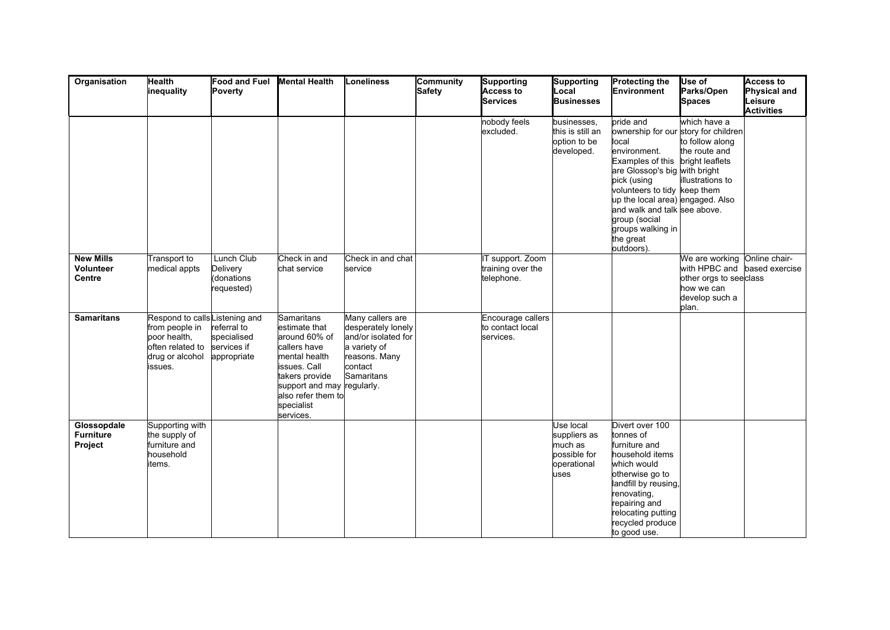| Organisation                               | <b>Health</b><br>inequality                                                                                        | Food and Fuel Mental Health<br>Poverty                   |                                                                                                                                                                                                | Loneliness                                                                                                               | Community<br><b>Safety</b> | Supporting<br>Access to<br><b>Services</b>         | Supporting<br>Local<br><b>Businesses</b>                                    | <b>Protecting the</b><br>Environment                                                                                                                                                                                                                                                                                                 | Use of<br>Parks/Open<br><b>Spaces</b>                                                              | <b>Access to</b><br><b>Physical and</b><br>Leisure<br><b>Activities</b> |
|--------------------------------------------|--------------------------------------------------------------------------------------------------------------------|----------------------------------------------------------|------------------------------------------------------------------------------------------------------------------------------------------------------------------------------------------------|--------------------------------------------------------------------------------------------------------------------------|----------------------------|----------------------------------------------------|-----------------------------------------------------------------------------|--------------------------------------------------------------------------------------------------------------------------------------------------------------------------------------------------------------------------------------------------------------------------------------------------------------------------------------|----------------------------------------------------------------------------------------------------|-------------------------------------------------------------------------|
|                                            |                                                                                                                    |                                                          |                                                                                                                                                                                                |                                                                                                                          |                            | nobody feels<br>excluded.                          | businesses.<br>this is still an<br>option to be<br>developed.               | bride and<br>ownership for our story for children<br>llocal<br>environment.<br>Examples of this bright leaflets<br>are Glossop's big with bright<br>pick (using<br>volunteers to tidy keep them<br>up the local area) engaged. Also<br>and walk and talk see above.<br>group (social<br>groups walking in<br>the great<br>outdoors). | lwhich have a<br>to follow along<br>the route and<br>illustrations to                              |                                                                         |
| <b>New Mills</b><br>Volunteer<br>Centre    | <b>Transport to</b><br>medical appts                                                                               | Lunch Club<br>Delivery<br>donations)<br>requested)       | Check in and<br>chat service                                                                                                                                                                   | Check in and chat<br>lservice                                                                                            |                            | T support. Zoom<br>training over the<br>telephone. |                                                                             |                                                                                                                                                                                                                                                                                                                                      | We are working<br>with HPBC and<br>other orgs to seeclass<br>how we can<br>develop such a<br>plan. | Online chair-<br>based exercise                                         |
| <b>Samaritans</b>                          | Respond to calls Listening and<br>from people in<br>poor health,<br>often related to<br>drug or alcohol<br>issues. | referral to<br>specialised<br>services if<br>appropriate | Samaritans<br>estimate that<br>around 60% of<br>callers have<br>mental health<br>issues. Call<br>takers provide<br>support and may regularly.<br>also refer them to<br>specialist<br>services. | Many callers are<br>desperately lonely<br>and/or isolated for<br>a variety of<br>reasons. Many<br>lcontact<br>Samaritans |                            | Encourage callers<br>to contact local<br>services. |                                                                             |                                                                                                                                                                                                                                                                                                                                      |                                                                                                    |                                                                         |
| Glossopdale<br><b>Furniture</b><br>Project | Supporting with<br>the supply of<br>furniture and<br>household<br>tems.                                            |                                                          |                                                                                                                                                                                                |                                                                                                                          |                            |                                                    | Use local<br>suppliers as<br>much as<br>possible for<br>operational<br>uses | Divert over 100<br>tonnes of<br>furniture and<br>household items<br>which would<br>otherwise go to<br>landfill by reusing,<br>renovating,<br>repairing and<br>relocating putting<br>recycled produce<br>to good use.                                                                                                                 |                                                                                                    |                                                                         |